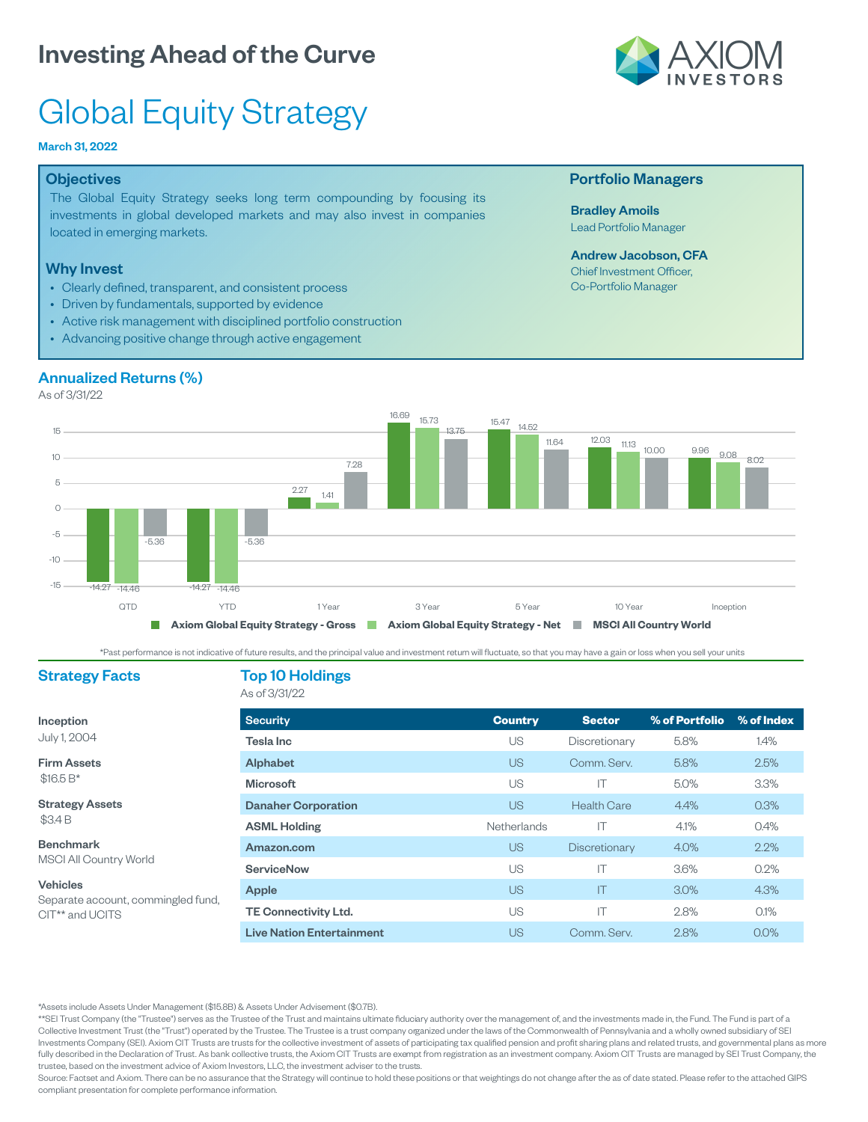

# Global Equity Strategy

### March 31, 2022

#### **Objectives**

The Global Equity Strategy seeks long term compounding by focusing its investments in global developed markets and may also invest in companies located in emerging markets.

#### Why Invest

- Clearly defined, transparent, and consistent process
- Driven by fundamentals, supported by evidence
- Active risk management with disciplined portfolio construction
- Advancing positive change through active engagement

### Annualized Returns (%)

As of 3/31/22



\*Past performance is not indicative of future results, and the principal value and investment return will fluctuate, so that you may have a gain or loss when you sell your units

### Strategy Facts Top 10 Holdings

| Inception |  |              |  |  |  |  |
|-----------|--|--------------|--|--|--|--|
|           |  | July 1, 2004 |  |  |  |  |

Firm Assets \$16.5 B\*

Strategy Assets

\$3.4 B

Benchmark MSCI All Country World

#### Vehicles

Separate account, commingled fund, CIT\*\* and UCITS

### As of 3/31/22

| <b>Security</b>                  | <b>Country</b> | <b>Sector</b>      | % of Portfolio | % of Index |
|----------------------------------|----------------|--------------------|----------------|------------|
| Tesla Inc                        | US             | Discretionary      | 5.8%           | 1.4%       |
| <b>Alphabet</b>                  | US             | Comm. Serv.        | 5.8%           | 2.5%       |
| <b>Microsoft</b>                 | US             | IΤ                 | 5.0%           | 3.3%       |
| <b>Danaher Corporation</b>       | US             | <b>Health Care</b> | 4.4%           | 0.3%       |
| <b>ASML Holding</b>              | Netherlands    | IΤ                 | 4.1%           | 0.4%       |
| Amazon.com                       | US             | Discretionary      | 4.0%           | 2.2%       |
| ServiceNow                       | US             | IΤ                 | 3.6%           | $0.2\%$    |
| Apple                            | <b>US</b>      | ΙT                 | 3.0%           | 4.3%       |
| <b>TE Connectivity Ltd.</b>      | US             | IΤ                 | 2.8%           | $0.1\%$    |
| <b>Live Nation Entertainment</b> | US             | Comm. Serv.        | 2.8%           | $0.0\%$    |

\*Assets include Assets Under Management (\$15.8B) & Assets Under Advisement (\$0.7B).

\*\*SEI Trust Company (the "Trustee") serves as the Trustee of the Trust and maintains ultimate fiduciary authority over the management of, and the investments made in, the Fund. The Fund is part of a Collective Investment Trust (the "Trust") operated by the Trustee. The Trustee is a trust company organized under the laws of the Commonwealth of Pennsylvania and a wholly owned subsidiary of SEI Investments Company (SEI). Axiom CIT Trusts are trusts for the collective investment of assets of participating tax qualified pension and profit sharing plans and related trusts, and governmental plans as more fully described in the Declaration of Trust. As bank collective trusts, the Axiom CIT Trusts are exempt from registration as an investment company. Axiom CIT Trusts are managed by SEI Trust Company, the trustee, based on the investment advice of Axiom Investors, LLC, the investment adviser to the trusts.

Source: Factset and Axiom. There can be no assurance that the Strategy will continue to hold these positions or that weightings do not change after the as of date stated. Please refer to the attached GIPS compliant presentation for complete performance information.

#### Portfolio Managers

Bradley Amoils Lead Portfolio Manager

Andrew Jacobson, CFA Chief Investment Officer, Co-Portfolio Manager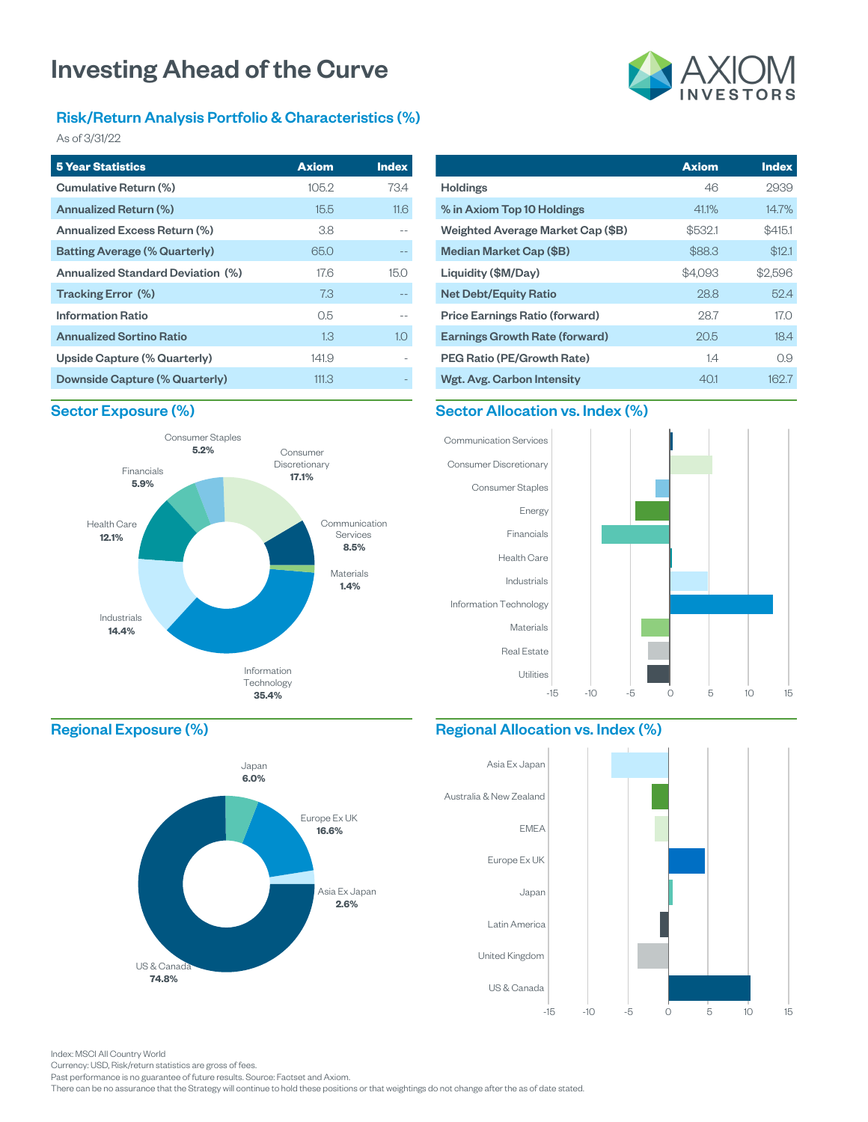### Risk/Return Analysis Portfolio & Characteristics (%)

As of 3/31/22

| <b>5 Year Statistics</b>                 | <b>Axiom</b> | <b>Index</b> |
|------------------------------------------|--------------|--------------|
| Cumulative Return (%)                    | 105.2        | 73.4         |
| Annualized Return (%)                    | 15.5         | 11.6         |
| Annualized Excess Return (%)             | 3.8          |              |
| <b>Batting Average (% Quarterly)</b>     | 65.0         |              |
| <b>Annualized Standard Deviation (%)</b> | 176          | 15.0         |
| Tracking Error (%)                       | 7.3          |              |
| <b>Information Ratio</b>                 | 05           |              |
| <b>Annualized Sortino Ratio</b>          | 1.3          | 1.0          |
| Upside Capture (% Quarterly)             | 141.9        |              |
| Downside Capture (% Quarterly)           | 111.3        |              |

# **Axiom Index** 2939

| <b>Holdings</b>                       | 46      | 2939    |
|---------------------------------------|---------|---------|
| % in Axiom Top 10 Holdings            | 41.1%   | 14.7%   |
| Weighted Average Market Cap (\$B)     | \$532.1 | \$415.1 |
| Median Market Cap (\$B)               | \$88.3  | \$12.1  |
| Liquidity (\$M/Day)                   | \$4.093 | \$2,596 |
| <b>Net Debt/Equity Ratio</b>          | 28.8    | 52.4    |
| <b>Price Earnings Ratio (forward)</b> | 28.7    | 17.0    |
| <b>Earnings Growth Rate (forward)</b> | 20.5    | 18.4    |
| <b>PEG Ratio (PE/Growth Rate)</b>     | 14      | 0.9     |
| Wgt. Avg. Carbon Intensity            | 401     | 162.7   |

### Sector Exposure (%)



## Sector Allocation vs. Index (%)



### Regional Exposure (%)



### Regional Allocation vs. Index (%)



Index: MSCI All Country World

Currency: USD, Risk/return statistics are gross of fees.

Past performance is no guarantee of future results. Source: Factset and Axiom.

There can be no assurance that the Strategy will continue to hold these positions or that weightings do not change after the as of date stated.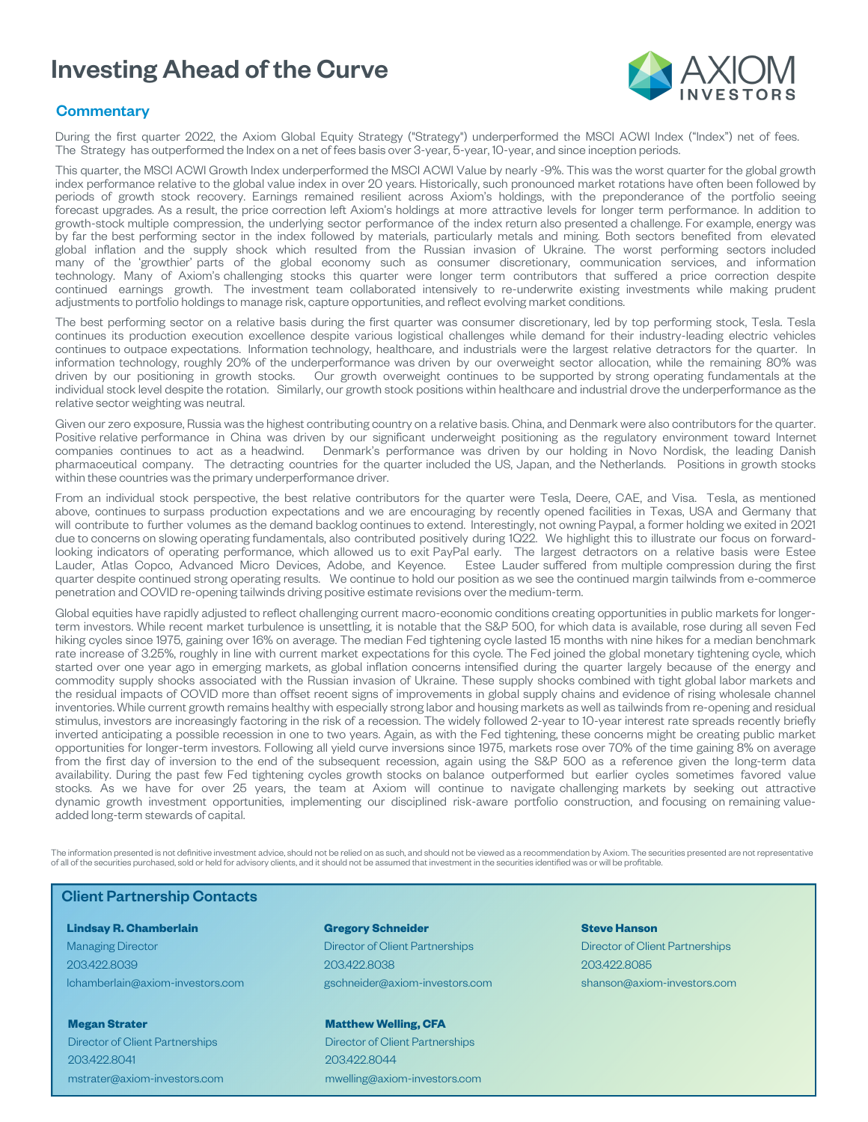

### **Commentary**

During the first quarter 2022, the Axiom Global Equity Strategy ("Strategy") underperformed the MSCI ACWI Index ("Index") net of fees. The Strategy has outperformed the Index on a net of fees basis over 3-year, 5-year, 10-year, and since inception periods.

This quarter, the MSCI ACWI Growth Index underperformed the MSCI ACWI Value by nearly -9%. This was the worst quarter for the global growth index performance relative to the global value index in over 20 years. Historically, such pronounced market rotations have often been followed by periods of growth stock recovery. Earnings remained resilient across Axiom's holdings, with the preponderance of the portfolio seeing forecast upgrades. As a result, the price correction left Axiom's holdings at more attractive levels for longer term performance. In addition to growth-stock multiple compression, the underlying sector performance of the index return also presented a challenge. For example, energy was by far the best performing sector in the index followed by materials, particularly metals and mining. Both sectors benefited from elevated global inflation and the supply shock which resulted from the Russian invasion of Ukraine. The worst performing sectors included many of the 'growthier' parts of the global economy such as consumer discretionary, communication services, and information technology. Many of Axiom's challenging stocks this quarter were longer term contributors that suffered a price correction despite continued earnings growth. The investment team collaborated intensively to re-underwrite existing investments while making prudent adjustments to portfolio holdings to manage risk, capture opportunities, and reflect evolving market conditions.

The best performing sector on a relative basis during the first quarter was consumer discretionary, led by top performing stock, Tesla. Tesla continues its production execution excellence despite various logistical challenges while demand for their industry-leading electric vehicles continues to outpace expectations. Information technology, healthcare, and industrials were the largest relative detractors for the quarter. In information technology, roughly 20% of the underperformance was driven by our overweight sector allocation, while the remaining 80% was driven by our positioning in growth stocks. Our growth overweight continues to be supported by strong operating fundamentals at the individual stock level despite the rotation. Similarly, our growth stock positions within healthcare and industrial drove the underperformance as the relative sector weighting was neutral.

Given our zero exposure, Russia was the highest contributing country on a relative basis. China, and Denmark were also contributors for the quarter. Positive relative performance in China was driven by our significant underweight positioning as the regulatory environment toward Internet companies continues to act as a headwind. Denmark's performance was driven by our holding in Novo Nordisk, the leading Danish pharmaceutical company. The detracting countries for the quarter included the US, Japan, and the Netherlands. Positions in growth stocks within these countries was the primary underperformance driver.

From an individual stock perspective, the best relative contributors for the quarter were Tesla, Deere, CAE, and Visa. Tesla, as mentioned above, continues to surpass production expectations and we are encouraging by recently opened facilities in Texas, USA and Germany that will contribute to further volumes as the demand backlog continues to extend. Interestingly, not owning Paypal, a former holding we exited in 2021 due to concerns on slowing operating fundamentals, also contributed positively during 1Q22. We highlight this to illustrate our focus on forwardlooking indicators of operating performance, which allowed us to exit PayPal early. The largest detractors on a relative basis were Estee Lauder, Atlas Copco, Advanced Micro Devices, Adobe, and Keyence. Estee Lauder suffered from multiple compression during the first quarter despite continued strong operating results. We continue to hold our position as we see the continued margin tailwinds from e-commerce penetration and COVID re-opening tailwinds driving positive estimate revisions over the medium-term.

Global equities have rapidly adjusted to reflect challenging current macro-economic conditions creating opportunities in public markets for longerterm investors. While recent market turbulence is unsettling, it is notable that the S&P 500, for which data is available, rose during all seven Fed hiking cycles since 1975, gaining over 16% on average. The median Fed tightening cycle lasted 15 months with nine hikes for a median benchmark rate increase of 3.25%, roughly in line with current market expectations for this cycle. The Fed joined the global monetary tightening cycle, which started over one year ago in emerging markets, as global inflation concerns intensified during the quarter largely because of the energy and commodity supply shocks associated with the Russian invasion of Ukraine. These supply shocks combined with tight global labor markets and the residual impacts of COVID more than offset recent signs of improvements in global supply chains and evidence of rising wholesale channel inventories. While current growth remains healthy with especially strong labor and housing markets as well as tailwinds from re-opening and residual stimulus, investors are increasingly factoring in the risk of a recession. The widely followed 2-year to 10-year interest rate spreads recently briefly inverted anticipating a possible recession in one to two years. Again, as with the Fed tightening, these concerns might be creating public market opportunities for longer-term investors. Following all yield curve inversions since 1975, markets rose over 70% of the time gaining 8% on average from the first day of inversion to the end of the subsequent recession, again using the S&P 500 as a reference given the long-term data availability. During the past few Fed tightening cycles growth stocks on balance outperformed but earlier cycles sometimes favored value stocks. As we have for over 25 years, the team at Axiom will continue to navigate challenging markets by seeking out attractive dynamic growth investment opportunities, implementing our disciplined risk-aware portfolio construction, and focusing on remaining valueadded long-term stewards of capital.

The information presented is not definitive investment advice, should not be relied on as such, and should not be viewed as a recommendation by Axiom. The securities presented are not representative of all of the securities purchased, sold or held for advisory clients, and it should not be assumed that investment in the securities identified was or will be profitable.

### Client Partnership Contacts

#### **Lindsay R. Chamberlain**

Managing Director 203.422.8039 lchamberlain@axiom-investors.com

**Megan Strater** Director of Client Partnerships 203.422.8041 mstrater@axiom-investors.com

### **Gregory Schneider** Director of Client Partnerships

203.422.8038 gschneider@axiom-investors.com

#### **Matthew Welling, CFA**

Director of Client Partnerships 203.422.8044 mwelling@axiom-investors.com

#### **Steve Hanson**

Director of Client Partnerships 203.422.8085 shanson@axiom-investors.com